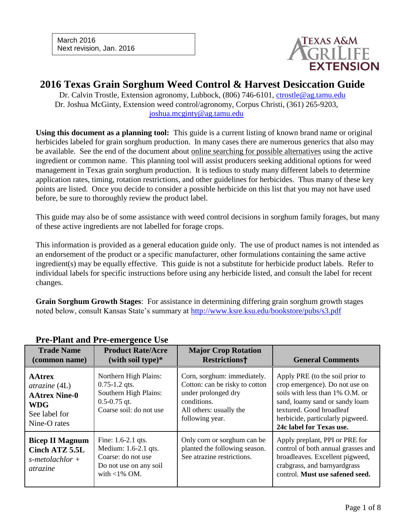

## **2016 Texas Grain Sorghum Weed Control & Harvest Desiccation Guide**

Dr. Calvin Trostle, Extension agronomy, Lubbock, (806) 746-6101, [ctrostle@ag.tamu.edu](mailto:ctrostle@ag.tamu.edu) Dr. Joshua McGinty, Extension weed control/agronomy, Corpus Christi, (361) 265-9203, [joshua.mcginty@ag.tamu.edu](mailto:joshua.mcginty@ag.tamu.edu)

**Using this document as a planning tool:** This guide is a current listing of known brand name or original herbicides labeled for grain sorghum production. In many cases there are numerous generics that also may be available. See the end of the document about online searching for possible alternatives using the active ingredient or common name. This planning tool will assist producers seeking additional options for weed management in Texas grain sorghum production. It is tedious to study many different labels to determine application rates, timing, rotation restrictions, and other guidelines for herbicides. Thus many of these key points are listed. Once you decide to consider a possible herbicide on this list that you may not have used before, be sure to thoroughly review the product label.

This guide may also be of some assistance with weed control decisions in sorghum family forages, but many of these active ingredients are not labelled for forage crops.

This information is provided as a general education guide only. The use of product names is not intended as an endorsement of the product or a specific manufacturer, other formulations containing the same active ingredient(s) may be equally effective. This guide is not a substitute for herbicide product labels. Refer to individual labels for specific instructions before using any herbicide listed, and consult the label for recent changes.

**Grain Sorghum Growth Stages**: For assistance in determining differing grain sorghum growth stages noted below, consult Kansas State's summary at<http://www.ksre.ksu.edu/bookstore/pubs/s3.pdf>

| TTC-Train and TTC-Cliff genet Osc                                                                             |                                                                                                                    |                                                                                                                                                   |                                                                                                                                                                                                                                    |
|---------------------------------------------------------------------------------------------------------------|--------------------------------------------------------------------------------------------------------------------|---------------------------------------------------------------------------------------------------------------------------------------------------|------------------------------------------------------------------------------------------------------------------------------------------------------------------------------------------------------------------------------------|
| <b>Trade Name</b><br>(common name)                                                                            | <b>Product Rate/Acre</b><br>(with soil type) $*$                                                                   | <b>Major Crop Rotation</b><br><b>Restrictions†</b>                                                                                                | <b>General Comments</b>                                                                                                                                                                                                            |
| <b>AAtrex</b><br>$\alpha$ trazine (4L)<br><b>AAtrex Nine-0</b><br><b>WDG</b><br>See label for<br>Nine-O rates | Northern High Plains:<br>$0.75 - 1.2$ qts.<br>Southern High Plains:<br>$0.5 - 0.75$ qt.<br>Coarse soil: do not use | Corn, sorghum: immediately.<br>Cotton: can be risky to cotton<br>under prolonged dry<br>conditions.<br>All others: usually the<br>following year. | Apply PRE (to the soil prior to<br>crop emergence). Do not use on<br>soils with less than 1% O.M. or<br>sand, loamy sand or sandy loam<br>textured. Good broadleaf<br>herbicide, particularly pigweed.<br>24c label for Texas use. |
| <b>Bicep II Magnum</b><br>Cinch ATZ 5.5L<br>$s$ -metolachlor +<br><i>atrazine</i>                             | Fine: 1.6-2.1 qts.<br>Medium: 1.6-2.1 qts.<br>Coarse: do not use<br>Do not use on any soil<br>with $<$ 1% OM.      | Only corn or sorghum can be<br>planted the following season.<br>See atrazine restrictions.                                                        | Apply preplant, PPI or PRE for<br>control of both annual grasses and<br>broadleaves. Excellent pigweed,<br>crabgrass, and barnyardgrass<br>control. Must use safened seed.                                                         |

#### **Pre-Plant and Pre-emergence Use**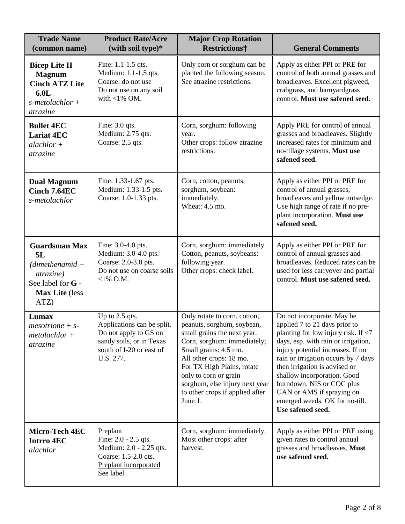| <b>Trade Name</b><br>(common name)                                                                                          | <b>Product Rate/Acre</b><br>(with soil type)*                                                                                              | <b>Major Crop Rotation</b><br><b>Restrictions†</b>                                                                                                                                                                                                                                                                  | <b>General Comments</b>                                                                                                                                                                                                                                                                                                                                                                                   |
|-----------------------------------------------------------------------------------------------------------------------------|--------------------------------------------------------------------------------------------------------------------------------------------|---------------------------------------------------------------------------------------------------------------------------------------------------------------------------------------------------------------------------------------------------------------------------------------------------------------------|-----------------------------------------------------------------------------------------------------------------------------------------------------------------------------------------------------------------------------------------------------------------------------------------------------------------------------------------------------------------------------------------------------------|
| <b>Bicep Lite II</b><br><b>Magnum</b><br><b>Cinch ATZ Lite</b><br>6.0 <sub>L</sub><br>$s$ -metolachlor +<br><i>atrazine</i> | Fine: 1.1-1.5 qts.<br>Medium: 1.1-1.5 qts.<br>Coarse: do not use<br>Do not use on any soil<br>with $<$ 1% OM.                              | Only corn or sorghum can be<br>planted the following season.<br>See atrazine restrictions.                                                                                                                                                                                                                          | Apply as either PPI or PRE for<br>control of both annual grasses and<br>broadleaves. Excellent pigweed,<br>crabgrass, and barnyardgrass<br>control. Must use safened seed.                                                                                                                                                                                                                                |
| <b>Bullet 4EC</b><br><b>Lariat 4EC</b><br>$alachlor +$<br>atrazine                                                          | Fine: 3.0 qts.<br>Medium: 2.75 qts.<br>Coarse: 2.5 qts.                                                                                    | Corn, sorghum: following<br>year.<br>Other crops: follow atrazine<br>restrictions.                                                                                                                                                                                                                                  | Apply PRE for control of annual<br>grasses and broadleaves. Slightly<br>increased rates for minimum and<br>no-tillage systems. Must use<br>safened seed.                                                                                                                                                                                                                                                  |
| <b>Dual Magnum</b><br>Cinch 7.64EC<br>s-metolachlor                                                                         | Fine: 1.33-1.67 pts.<br>Medium: 1.33-1.5 pts.<br>Coarse: 1.0-1.33 pts.                                                                     | Corn, cotton, peanuts,<br>sorghum, soybean:<br>immediately.<br>Wheat: 4.5 mo.                                                                                                                                                                                                                                       | Apply as either PPI or PRE for<br>control of annual grasses,<br>broadleaves and yellow nutsedge.<br>Use high range of rate if no pre-<br>plant incorporation. Must use<br>safened seed.                                                                                                                                                                                                                   |
| <b>Guardsman Max</b><br>5L<br>$(dimentenamid +$<br><i>atrazine</i> )<br>See label for G -<br>Max Lite (less<br>ATZ)         | Fine: 3.0-4.0 pts.<br>Medium: 3.0-4.0 pts.<br>Coarse: 2.0-3.0 pts.<br>Do not use on coarse soils<br>$<$ 1% O.M.                            | Corn, sorghum: immediately.<br>Cotton, peanuts, soybeans:<br>following year.<br>Other crops: check label.                                                                                                                                                                                                           | Apply as either PPI or PRE for<br>control of annual grasses and<br>broadleaves. Reduced rates can be<br>used for less carryover and partial<br>control. Must use safened seed.                                                                                                                                                                                                                            |
| Lumax<br>$mesotrione + s$<br>$metolachlor +$<br>atrazine                                                                    | Up to 2.5 qts.<br>Applications can be split.<br>Do not apply to GS on<br>sandy soils, or in Texas<br>south of I-20 or east of<br>U.S. 277. | Only rotate to corn, cotton,<br>peanuts, sorghum, soybean,<br>small grains the next year.<br>Corn, sorghum: immediately;<br>Small grains: 4.5 mo.<br>All other crops: 18 mo.<br>For TX High Plains, rotate<br>only to corn or grain<br>sorghum, else injury next year<br>to other crops if applied after<br>June 1. | Do not incorporate. May be<br>applied 7 to 21 days prior to<br>planting for low injury risk. If $<$ 7<br>days, esp. with rain or irrigation,<br>injury potential increases. If no<br>rain or irrigation occurs by 7 days<br>then irrigation is advised or<br>shallow incorporation. Good<br>burndown. NIS or COC plus<br>UAN or AMS if spraying on<br>emerged weeds. OK for no-till.<br>Use safened seed. |
| Micro-Tech 4EC<br><b>Intrro 4EC</b><br>alachlor                                                                             | Preplant<br>Fine: 2.0 - 2.5 qts.<br>Medium: 2.0 - 2.25 qts.<br>Coarse: 1.5-2.0 qts.<br>Preplant incorporated<br>See label.                 | Corn, sorghum: immediately.<br>Most other crops: after<br>harvest.                                                                                                                                                                                                                                                  | Apply as either PPI or PRE using<br>given rates to control annual<br>grasses and broadleaves. Must<br>use safened seed.                                                                                                                                                                                                                                                                                   |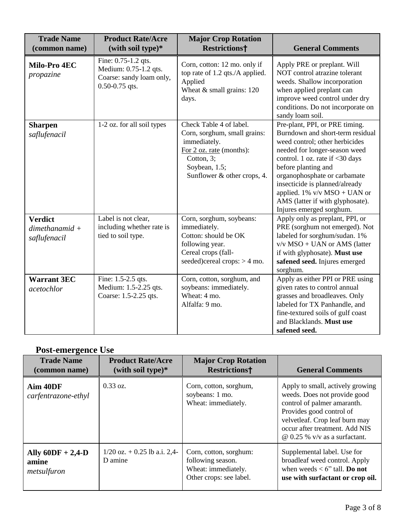| <b>Trade Name</b><br>(common name)                | <b>Product Rate/Acre</b><br>(with soil type)*                                                  | <b>Major Crop Rotation</b><br><b>Restrictions†</b>                                                                                                                | <b>General Comments</b>                                                                                                                                                                                                                                                                                                                                              |
|---------------------------------------------------|------------------------------------------------------------------------------------------------|-------------------------------------------------------------------------------------------------------------------------------------------------------------------|----------------------------------------------------------------------------------------------------------------------------------------------------------------------------------------------------------------------------------------------------------------------------------------------------------------------------------------------------------------------|
| Milo-Pro 4EC<br>propazine                         | Fine: 0.75-1.2 qts.<br>Medium: 0.75-1.2 qts.<br>Coarse: sandy loam only,<br>$0.50 - 0.75$ qts. | Corn, cotton: 12 mo. only if<br>top rate of 1.2 qts./A applied.<br>Applied<br>Wheat $&$ small grains: 120<br>days.                                                | Apply PRE or preplant. Will<br>NOT control atrazine tolerant<br>weeds. Shallow incorporation<br>when applied preplant can<br>improve weed control under dry<br>conditions. Do not incorporate on<br>sandy loam soil.                                                                                                                                                 |
| <b>Sharpen</b><br>saflufenacil                    | 1-2 oz. for all soil types                                                                     | Check Table 4 of label.<br>Corn, sorghum, small grains:<br>immediately.<br>For 2 oz. rate (months):<br>Cotton, 3;<br>Soybean, 1.5;<br>Sunflower & other crops, 4. | Pre-plant, PPI, or PRE timing.<br>Burndown and short-term residual<br>weed control; other herbicides<br>needed for longer-season weed<br>control. 1 oz. rate if <30 days<br>before planting and<br>organophosphate or carbamate<br>insecticide is planned/already<br>applied. $1\%$ v/v MSO + UAN or<br>AMS (latter if with glyphosate).<br>Injures emerged sorghum. |
| <b>Verdict</b><br>$dimensional +$<br>saflufenacil | Label is not clear,<br>including whether rate is<br>tied to soil type.                         | Corn, sorghum, soybeans:<br>immediately.<br>Cotton: should be OK<br>following year.<br>Cereal crops (fall-<br>seeded)cereal crops: $> 4$ mo.                      | Apply only as preplant, PPI, or<br>PRE (sorghum not emerged). Not<br>labeled for sorghum/sudan. 1%<br>v/v MSO + UAN or AMS (latter<br>if with glyphosate). Must use<br>safened seed. Injures emerged<br>sorghum.                                                                                                                                                     |
| <b>Warrant 3EC</b><br>acetochlor                  | Fine: 1.5-2.5 qts.<br>Medium: 1.5-2.25 qts.<br>Coarse: 1.5-2.25 qts.                           | Corn, cotton, sorghum, and<br>soybeans: immediately.<br>Wheat: 4 mo.<br>Alfalfa: 9 mo.                                                                            | Apply as either PPI or PRE using<br>given rates to control annual<br>grasses and broadleaves. Only<br>labeled for TX Panhandle, and<br>fine-textured soils of gulf coast<br>and Blacklands. Must use<br>safened seed.                                                                                                                                                |

# **Post-emergence Use**

| <b>Trade Name</b><br>(common name)          | <b>Product Rate/Acre</b><br>(with soil type) $*$ | <b>Major Crop Rotation</b><br><b>Restrictions†</b>                                            | <b>General Comments</b>                                                                                                                                                                                                                 |
|---------------------------------------------|--------------------------------------------------|-----------------------------------------------------------------------------------------------|-----------------------------------------------------------------------------------------------------------------------------------------------------------------------------------------------------------------------------------------|
| Aim 40DF<br>carfentrazone-ethyl             | $0.33 \text{ oz.}$                               | Corn, cotton, sorghum,<br>soybeans: 1 mo.<br>Wheat: immediately.                              | Apply to small, actively growing<br>weeds. Does not provide good<br>control of palmer amaranth.<br>Provides good control of<br>velvetleaf. Crop leaf burn may<br>occur after treatment. Add NIS<br>$\omega$ 0.25 % v/v as a surfactant. |
| Ally $60DF + 2,4-D$<br>amine<br>metsulfuron | $1/20$ oz. $+$ 0.25 lb a.i. 2,4-<br>D amine      | Corn, cotton, sorghum:<br>following season.<br>Wheat: immediately.<br>Other crops: see label. | Supplemental label. Use for<br>broadleaf weed control. Apply<br>when weeds $< 6$ " tall. <b>Do not</b><br>use with surfactant or crop oil.                                                                                              |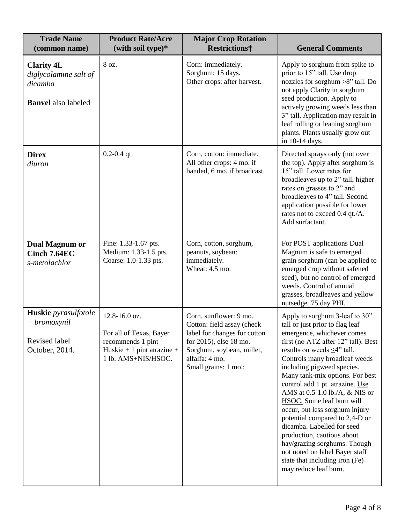| <b>Trade Name</b><br>(common name)                                                  | <b>Product Rate/Acre</b><br>(with soil type)*                                                                      | <b>Major Crop Rotation</b><br><b>Restrictions†</b>                                                                                                                                    | <b>General Comments</b>                                                                                                                                                                                                                                                                                                                                                                                                                                                                                                                                                                                                                      |
|-------------------------------------------------------------------------------------|--------------------------------------------------------------------------------------------------------------------|---------------------------------------------------------------------------------------------------------------------------------------------------------------------------------------|----------------------------------------------------------------------------------------------------------------------------------------------------------------------------------------------------------------------------------------------------------------------------------------------------------------------------------------------------------------------------------------------------------------------------------------------------------------------------------------------------------------------------------------------------------------------------------------------------------------------------------------------|
| <b>Clarity 4L</b><br>diglycolamine salt of<br>dicamba<br><b>Banvel</b> also labeled | 8 oz.                                                                                                              | Corn: immediately.<br>Sorghum: 15 days.<br>Other crops: after harvest.                                                                                                                | Apply to sorghum from spike to<br>prior to 15" tall. Use drop<br>nozzles for sorghum >8" tall. Do<br>not apply Clarity in sorghum<br>seed production. Apply to<br>actively growing weeds less than<br>3" tall. Application may result in<br>leaf rolling or leaning sorghum<br>plants. Plants usually grow out<br>in 10-14 days.                                                                                                                                                                                                                                                                                                             |
| <b>Direx</b><br>diuron                                                              | $0.2 - 0.4$ qt.                                                                                                    | Corn, cotton: immediate.<br>All other crops: 4 mo. if<br>banded, 6 mo. if broadcast.                                                                                                  | Directed sprays only (not over<br>the top). Apply after sorghum is<br>15" tall. Lower rates for<br>broadleaves up to 2" tall, higher<br>rates on grasses to 2" and<br>broadleaves to 4" tall. Second<br>application possible for lower<br>rates not to exceed 0.4 qt./A.<br>Add surfactant.                                                                                                                                                                                                                                                                                                                                                  |
| <b>Dual Magnum or</b><br>Cinch 7.64EC<br>s-metolachlor                              | Fine: 1.33-1.67 pts.<br>Medium: 1.33-1.5 pts.<br>Coarse: 1.0-1.33 pts.                                             | Corn, cotton, sorghum,<br>peanuts, soybean:<br>immediately.<br>Wheat: 4.5 mo.                                                                                                         | For POST applications Dual<br>Magnum is safe to emerged<br>grain sorghum (can be applied to<br>emerged crop without safened<br>seed), but no control of emerged<br>weeds. Control of annual<br>grasses, broadleaves and yellow<br>nutsedge. 75 day PHI.                                                                                                                                                                                                                                                                                                                                                                                      |
| Huskie pyrasulfotole<br>$+ bromox$ ynil<br>Revised label<br>October, 2014.          | 12.8-16.0 oz.<br>For all of Texas, Bayer<br>recommends 1 pint<br>Huskie + 1 pint atrazine +<br>1 lb. AMS+NIS/HSOC. | Corn, sunflower: 9 mo.<br>Cotton: field assay (check<br>label for changes for cotton<br>for 2015), else 18 mo.<br>Sorghum, soybean, millet,<br>alfalfa: 4 mo.<br>Small grains: 1 mo.; | Apply to sorghum 3-leaf to 30"<br>tall or just prior to flag leaf<br>emergence, whichever comes<br>first (no ATZ after 12" tall). Best<br>results on weeds $\leq 4$ " tall.<br>Controls many broadleaf weeds<br>including pigweed species.<br>Many tank-mix options. For best<br>control add 1 pt. atrazine. Use<br>AMS at 0.5-1.0 lb./A, & NIS or<br>HSOC. Some leaf burn will<br>occur, but less sorghum injury<br>potential compared to 2,4-D or<br>dicamba. Labelled for seed<br>production, cautious about<br>hay/grazing sorghums. Though<br>not noted on label Bayer staff<br>state that including iron (Fe)<br>may reduce leaf burn. |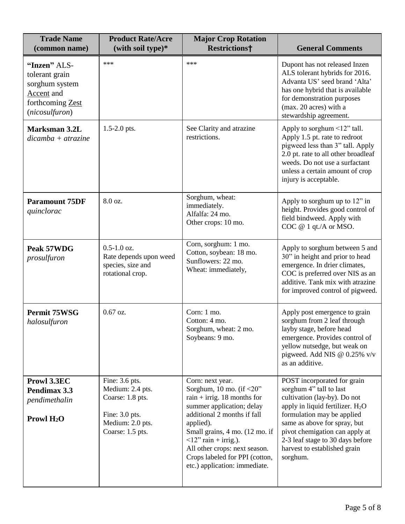| <b>Trade Name</b><br>(common name)                                                                   | <b>Product Rate/Acre</b><br>(with soil type)*                                                                    | <b>Major Crop Rotation</b><br><b>Restrictions†</b>                                                                                                                                                                                                                                                                              | <b>General Comments</b>                                                                                                                                                                                                                                                                                                |
|------------------------------------------------------------------------------------------------------|------------------------------------------------------------------------------------------------------------------|---------------------------------------------------------------------------------------------------------------------------------------------------------------------------------------------------------------------------------------------------------------------------------------------------------------------------------|------------------------------------------------------------------------------------------------------------------------------------------------------------------------------------------------------------------------------------------------------------------------------------------------------------------------|
| "Inzen" ALS-<br>tolerant grain<br>sorghum system<br>Accent and<br>forthcoming Zest<br>(nicosulfuron) | $***$                                                                                                            | $***$                                                                                                                                                                                                                                                                                                                           | Dupont has not released Inzen<br>ALS tolerant hybrids for 2016.<br>Advanta US' seed brand 'Alta'<br>has one hybrid that is available<br>for demonstration purposes<br>(max. 20 acres) with a<br>stewardship agreement.                                                                                                 |
| <b>Marksman 3.2L</b><br>$dicamba + a trazine$                                                        | $1.5 - 2.0$ pts.                                                                                                 | See Clarity and atrazine<br>restrictions.                                                                                                                                                                                                                                                                                       | Apply to sorghum <12" tall.<br>Apply 1.5 pt. rate to redroot<br>pigweed less than 3" tall. Apply<br>2.0 pt. rate to all other broadleaf<br>weeds. Do not use a surfactant<br>unless a certain amount of crop<br>injury is acceptable.                                                                                  |
| <b>Paramount 75DF</b><br>quinclorac                                                                  | 8.0 oz.                                                                                                          | Sorghum, wheat:<br>immediately.<br>Alfalfa: 24 mo.<br>Other crops: 10 mo.                                                                                                                                                                                                                                                       | Apply to sorghum up to 12" in<br>height. Provides good control of<br>field bindweed. Apply with<br>COC @ 1 qt./A or MSO.                                                                                                                                                                                               |
| Peak 57WDG<br>prosulfuron                                                                            | $0.5 - 1.0$ oz.<br>Rate depends upon weed<br>species, size and<br>rotational crop.                               | Corn, sorghum: 1 mo.<br>Cotton, soybean: 18 mo.<br>Sunflowers: 22 mo.<br>Wheat: immediately,                                                                                                                                                                                                                                    | Apply to sorghum between 5 and<br>30" in height and prior to head<br>emergence. In drier climates,<br>COC is preferred over NIS as an<br>additive. Tank mix with atrazine<br>for improved control of pigweed.                                                                                                          |
| <b>Permit 75WSG</b><br>halosulfuron                                                                  | $0.67$ oz.                                                                                                       | Corn: 1 mo.<br>Cotton: 4 mo.<br>Sorghum, wheat: 2 mo.<br>Soybeans: 9 mo.                                                                                                                                                                                                                                                        | Apply post emergence to grain<br>sorghum from 2 leaf through<br>layby stage, before head<br>emergence. Provides control of<br>yellow nutsedge, but weak on<br>pigweed. Add NIS @ $0.25\%$ v/v<br>as an additive.                                                                                                       |
| Prowl 3.3EC<br>Pendimax 3.3<br>pendimethalin<br>Prowl $H_2O$                                         | Fine: 3.6 pts.<br>Medium: 2.4 pts.<br>Coarse: 1.8 pts.<br>Fine: 3.0 pts.<br>Medium: 2.0 pts.<br>Coarse: 1.5 pts. | Corn: next year.<br>Sorghum, 10 mo. (if $<20$ "<br>rain + irrig. 18 months for<br>summer application; delay<br>additional 2 months if fall<br>applied).<br>Small grains, 4 mo. (12 mo. if<br>$\langle 12$ " rain + irrig.).<br>All other crops: next season.<br>Crops labeled for PPI (cotton,<br>etc.) application: immediate. | POST incorporated for grain<br>sorghum 4" tall to last<br>cultivation (lay-by). Do not<br>apply in liquid fertilizer. H <sub>2</sub> O<br>formulation may be applied<br>same as above for spray, but<br>pivot chemigation can apply at<br>2-3 leaf stage to 30 days before<br>harvest to established grain<br>sorghum. |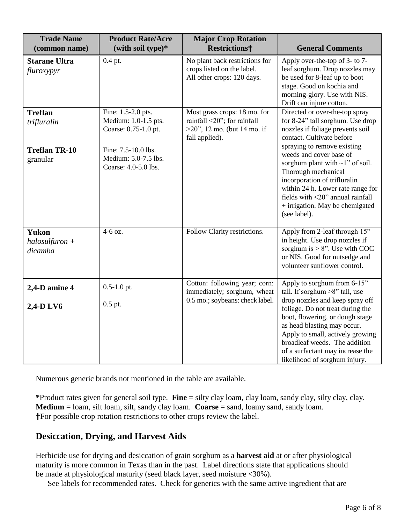| <b>Trade Name</b><br>(common name)          | <b>Product Rate/Acre</b><br>(with soil type)*                       | <b>Major Crop Rotation</b><br><b>Restrictions†</b>                                                              | <b>General Comments</b>                                                                                                                                                                                                                                                            |
|---------------------------------------------|---------------------------------------------------------------------|-----------------------------------------------------------------------------------------------------------------|------------------------------------------------------------------------------------------------------------------------------------------------------------------------------------------------------------------------------------------------------------------------------------|
| <b>Starane Ultra</b><br>fluroxypyr          | 0.4 pt.                                                             | No plant back restrictions for<br>crops listed on the label.<br>All other crops: 120 days.                      | Apply over-the-top of 3- to 7-<br>leaf sorghum. Drop nozzles may<br>be used for 8-leaf up to boot<br>stage. Good on kochia and<br>morning-glory. Use with NIS.<br>Drift can injure cotton.                                                                                         |
| <b>Treflan</b><br>trifluralin               | Fine: 1.5-2.0 pts.<br>Medium: 1.0-1.5 pts.<br>Coarse: 0.75-1.0 pt.  | Most grass crops: 18 mo. for<br>rainfall <20"; for rainfall<br>$>20$ ", 12 mo. (but 14 mo. if<br>fall applied). | Directed or over-the-top spray<br>for 8-24" tall sorghum. Use drop<br>nozzles if foliage prevents soil<br>contact. Cultivate before                                                                                                                                                |
| <b>Treflan TR-10</b><br>granular            | Fine: 7.5-10.0 lbs.<br>Medium: 5.0-7.5 lbs.<br>Coarse: 4.0-5.0 lbs. |                                                                                                                 | spraying to remove existing<br>weeds and cover base of<br>sorghum plant with $\sim$ 1" of soil.<br>Thorough mechanical<br>incorporation of trifluralin<br>within 24 h. Lower rate range for<br>fields with <20" annual rainfall<br>+ irrigation. May be chemigated<br>(see label). |
| <b>Yukon</b><br>$halosulfuron +$<br>dicamba | 4-6 oz.                                                             | Follow Clarity restrictions.                                                                                    | Apply from 2-leaf through 15"<br>in height. Use drop nozzles if<br>sorghum is $> 8$ ". Use with COC<br>or NIS. Good for nutsedge and<br>volunteer sunflower control.                                                                                                               |
| 2,4-D amine 4                               | $0.5 - 1.0$ pt.                                                     | Cotton: following year; corn:<br>immediately; sorghum, wheat                                                    | Apply to sorghum from 6-15"<br>tall. If sorghum $>8$ " tall, use                                                                                                                                                                                                                   |
| 2,4-D LV6                                   | $0.5$ pt.                                                           | 0.5 mo.; soybeans: check label.                                                                                 | drop nozzles and keep spray off<br>foliage. Do not treat during the<br>boot, flowering, or dough stage<br>as head blasting may occur.<br>Apply to small, actively growing<br>broadleaf weeds. The addition<br>of a surfactant may increase the<br>likelihood of sorghum injury.    |

Numerous generic brands not mentioned in the table are available.

**\***Product rates given for general soil type. **Fine** = silty clay loam, clay loam, sandy clay, silty clay, clay. **Medium** = loam, silt loam, silt, sandy clay loam. **Coarse** = sand, loamy sand, sandy loam. **†**For possible crop rotation restrictions to other crops review the label.

## **Desiccation, Drying, and Harvest Aids**

Herbicide use for drying and desiccation of grain sorghum as a **harvest aid** at or after physiological maturity is more common in Texas than in the past. Label directions state that applications should be made at physiological maturity (seed black layer, seed moisture <30%).

See labels for recommended rates. Check for generics with the same active ingredient that are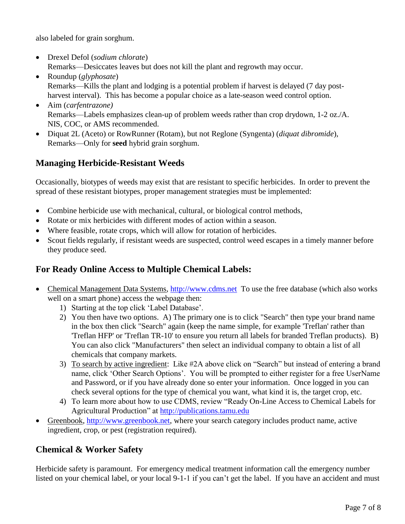also labeled for grain sorghum.

- Drexel Defol (*sodium chlorate*) Remarks—Desiccates leaves but does not kill the plant and regrowth may occur.
- Roundup (*glyphosate*) Remarks—Kills the plant and lodging is a potential problem if harvest is delayed (7 day postharvest interval). This has become a popular choice as a late-season weed control option.
- Aim (*carfentrazone)* Remarks—Labels emphasizes clean-up of problem weeds rather than crop drydown, 1-2 oz./A. NIS, COC, or AMS recommended.
- Diquat 2L (Aceto) or RowRunner (Rotam), but not Reglone (Syngenta) (*diquat dibromide*), Remarks—Only for **seed** hybrid grain sorghum.

## **Managing Herbicide-Resistant Weeds**

Occasionally, biotypes of weeds may exist that are resistant to specific herbicides. In order to prevent the spread of these resistant biotypes, proper management strategies must be implemented:

- Combine herbicide use with mechanical, cultural, or biological control methods,
- Rotate or mix herbicides with different modes of action within a season.
- Where feasible, rotate crops, which will allow for rotation of herbicides.
- Scout fields regularly, if resistant weeds are suspected, control weed escapes in a timely manner before they produce seed.

#### **For Ready Online Access to Multiple Chemical Labels:**

- Chemical Management Data Systems, [http://www.cdms.net](http://www.cdms.net/) To use the free database (which also works well on a smart phone) access the webpage then:
	- 1) Starting at the top click 'Label Database'.
	- 2) You then have two options. A) The primary one is to click "Search" then type your brand name in the box then click "Search" again (keep the name simple, for example 'Treflan' rather than 'Treflan HFP' or 'Treflan TR-10' to ensure you return all labels for branded Treflan products). B) You can also click "Manufacturers" then select an individual company to obtain a list of all chemicals that company markets.
	- 3) To search by active ingredient: Like #2A above click on "Search" but instead of entering a brand name, click 'Other Search Options'. You will be prompted to either register for a free UserName and Password, or if you have already done so enter your information. Once logged in you can check several options for the type of chemical you want, what kind it is, the target crop, etc.
	- 4) To learn more about how to use CDMS, review "Ready On-Line Access to Chemical Labels for Agricultural Production" at [http://publications.tamu.edu](http://publications.tamu.edu/)
- Greenbook, [http://www.greenbook.net,](http://www.greenbook.net/) where your search category includes product name, active ingredient, crop, or pest (registration required).

#### **Chemical & Worker Safety**

Herbicide safety is paramount. For emergency medical treatment information call the emergency number listed on your chemical label, or your local 9-1-1 if you can't get the label. If you have an accident and must